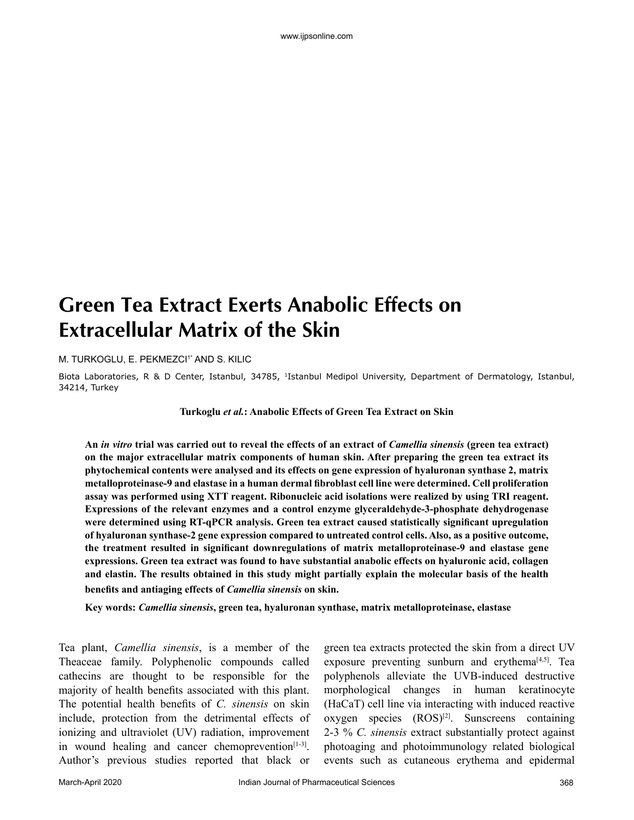# **Green Tea Extract Exerts Anabolic Effects on Extracellular Matrix of the Skin**

M. TURKOGLU, E. PEKMEZCI<sup>1\*</sup> AND S. KILIC

Biota Laboratories, R & D Center, Istanbul, 34785, 1Istanbul Medipol University, Department of Dermatology, Istanbul, 34214, Turkey

**Turkoglu** *et al.***: Anabolic Effects of Green Tea Extract on Skin**

**An** *in vitro* **trial was carried out to reveal the effects of an extract of** *Camellia sinensis* **(green tea extract) on the major extracellular matrix components of human skin. After preparing the green tea extract its phytochemical contents were analysed and its effects on gene expression of hyaluronan synthase 2, matrix metalloproteinase-9 and elastase in a human dermal fibroblast cell line were determined. Cell proliferation assay was performed using XTT reagent. Ribonucleic acid isolations were realized by using TRI reagent. Expressions of the relevant enzymes and a control enzyme glyceraldehyde-3-phosphate dehydrogenase were determined using RT-qPCR analysis. Green tea extract caused statistically significant upregulation of hyaluronan synthase-2 gene expression compared to untreated control cells. Also, as a positive outcome, the treatment resulted in significant downregulations of matrix metalloproteinase-9 and elastase gene expressions. Green tea extract was found to have substantial anabolic effects on hyaluronic acid, collagen and elastin. The results obtained in this study might partially explain the molecular basis of the health benefits and antiaging effects of** *Camellia sinensis* **on skin.**

**Key words:** *Camellia sinensis***, green tea, hyaluronan synthase, matrix metalloproteinase, elastase**

Tea plant, *Camellia sinensis*, is a member of the Theaceae family. Polyphenolic compounds called cathecins are thought to be responsible for the majority of health benefits associated with this plant. The potential health benefits of *C. sinensis* on skin include, protection from the detrimental effects of ionizing and ultraviolet (UV) radiation, improvement in wound healing and cancer chemoprevention $[1-3]$ . Author's previous studies reported that black or green tea extracts protected the skin from a direct UV exposure preventing sunburn and erythema $[4,5]$ . Tea polyphenols alleviate the UVB-induced destructive morphological changes in human keratinocyte (HaCaT) cell line via interacting with induced reactive oxygen species (ROS)<sup>[2]</sup>. Sunscreens containing 2-3 % *C. sinensis* extract substantially protect against photoaging and photoimmunology related biological events such as cutaneous erythema and epidermal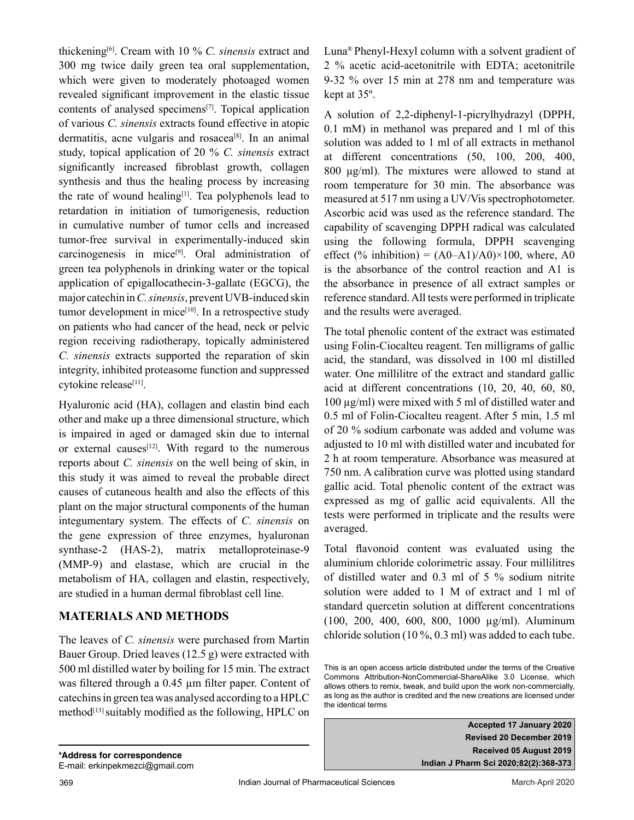thickening[6]. Cream with 10 % *C. sinensis* extract and 300 mg twice daily green tea oral supplementation, which were given to moderately photoaged women revealed significant improvement in the elastic tissue contents of analysed specimens[7]. Topical application of various *C. sinensis* extracts found effective in atopic dermatitis, acne vulgaris and rosacea<sup>[8]</sup>. In an animal study, topical application of 20 % *C. sinensis* extract significantly increased fibroblast growth, collagen synthesis and thus the healing process by increasing the rate of wound healing<sup>[1]</sup>. Tea polyphenols lead to retardation in initiation of tumorigenesis, reduction in cumulative number of tumor cells and increased tumor-free survival in experimentally-induced skin carcinogenesis in mice<sup>[9]</sup>. Oral administration of green tea polyphenols in drinking water or the topical application of epigallocathecin-3-gallate (EGCG), the major catechin in *C. sinensis*, prevent UVB-induced skin tumor development in mice $[10]$ . In a retrospective study on patients who had cancer of the head, neck or pelvic region receiving radiotherapy, topically administered *C. sinensis* extracts supported the reparation of skin integrity, inhibited proteasome function and suppressed cytokine release[11].

Hyaluronic acid (HA), collagen and elastin bind each other and make up a three dimensional structure, which is impaired in aged or damaged skin due to internal or external causes<sup>[12]</sup>. With regard to the numerous reports about *C. sinensis* on the well being of skin, in this study it was aimed to reveal the probable direct causes of cutaneous health and also the effects of this plant on the major structural components of the human integumentary system. The effects of *C. sinensis* on the gene expression of three enzymes, hyaluronan synthase-2 (HAS-2), matrix metalloproteinase-9 (MMP-9) and elastase, which are crucial in the metabolism of HA, collagen and elastin, respectively, are studied in a human dermal fibroblast cell line.

## **MATERIALS AND METHODS**

The leaves of *C. sinensis* were purchased from Martin Bauer Group. Dried leaves (12.5 g) were extracted with 500 ml distilled water by boiling for 15 min. The extract was filtered through a 0.45 µm filter paper. Content of catechins in green tea was analysed according to a HPLC method<sup>[13]</sup> suitably modified as the following, HPLC on

Luna® Phenyl-Hexyl column with a solvent gradient of 2 % acetic acid-acetonitrile with EDTA; acetonitrile 9-32 % over 15 min at 278 nm and temperature was kept at 35º.

A solution of 2,2-diphenyl-1-picrylhydrazyl (DPPH, 0.1 mM) in methanol was prepared and 1 ml of this solution was added to 1 ml of all extracts in methanol at different concentrations (50, 100, 200, 400, 800 μg/ml). The mixtures were allowed to stand at room temperature for 30 min. The absorbance was measured at 517 nm using a UV/Vis spectrophotometer. Ascorbic acid was used as the reference standard. The capability of scavenging DPPH radical was calculated using the following formula, DPPH scavenging effect (% inhibition) =  $(A0-A1)/A0 \times 100$ , where, A0 is the absorbance of the control reaction and A1 is the absorbance in presence of all extract samples or reference standard. All tests were performed in triplicate and the results were averaged.

The total phenolic content of the extract was estimated using Folin-Ciocalteu reagent. Ten milligrams of gallic acid, the standard, was dissolved in 100 ml distilled water. One millilitre of the extract and standard gallic acid at different concentrations (10, 20, 40, 60, 80, 100 µg/ml) were mixed with 5 ml of distilled water and 0.5 ml of Folin-Ciocalteu reagent. After 5 min, 1.5 ml of 20 % sodium carbonate was added and volume was adjusted to 10 ml with distilled water and incubated for 2 h at room temperature. Absorbance was measured at 750 nm. A calibration curve was plotted using standard gallic acid. Total phenolic content of the extract was expressed as mg of gallic acid equivalents. All the tests were performed in triplicate and the results were averaged.

Total flavonoid content was evaluated using the aluminium chloride colorimetric assay. Four millilitres of distilled water and 0.3 ml of 5 % sodium nitrite solution were added to 1 M of extract and 1 ml of standard quercetin solution at different concentrations (100, 200, 400, 600, 800, 1000 µg/ml). Aluminum chloride solution (10 %, 0.3 ml) was added to each tube.

**Accepted 17 January 2020 Revised 20 December 2019 Received 05 August 2019 Indian J Pharm Sci 2020;82(2):368-373**

This is an open access article distributed under the terms of the Creative Commons Attribution-NonCommercial-ShareAlike 3.0 License, which allows others to remix, tweak, and build upon the work non-commercially, as long as the author is credited and the new creations are licensed under the identical terms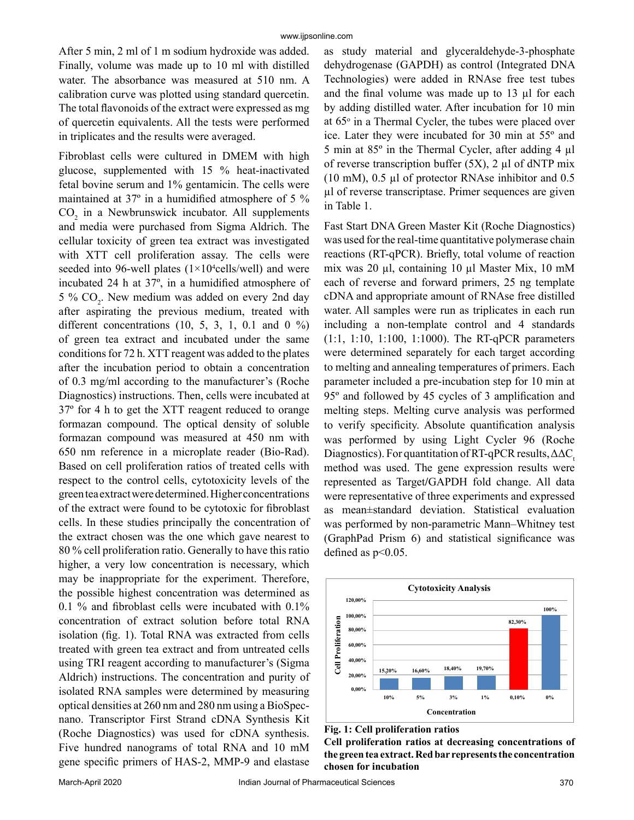After 5 min, 2 ml of 1 m sodium hydroxide was added. Finally, volume was made up to 10 ml with distilled water. The absorbance was measured at 510 nm. A calibration curve was plotted using standard quercetin. The total flavonoids of the extract were expressed as mg of quercetin equivalents. All the tests were performed in triplicates and the results were averaged.

Fibroblast cells were cultured in DMEM with high glucose, supplemented with 15 % heat-inactivated fetal bovine serum and 1% gentamicin. The cells were maintained at 37º in a humidified atmosphere of 5 %  $CO<sub>2</sub>$  in a Newbrunswick incubator. All supplements and media were purchased from Sigma Aldrich. The cellular toxicity of green tea extract was investigated with XTT cell proliferation assay. The cells were seeded into 96-well plates  $(1 \times 10^4$ cells/well) and were incubated 24 h at 37º, in a humidified atmosphere of  $5\%$  CO<sub>2</sub>. New medium was added on every 2nd day after aspirating the previous medium, treated with different concentrations  $(10, 5, 3, 1, 0.1$  and  $(0, 9)$ of green tea extract and incubated under the same conditions for 72 h. XTT reagent was added to the plates after the incubation period to obtain a concentration of 0.3 mg/ml according to the manufacturer's (Roche Diagnostics) instructions. Then, cells were incubated at 37º for 4 h to get the XTT reagent reduced to orange formazan compound. The optical density of soluble formazan compound was measured at 450 nm with 650 nm reference in a microplate reader (Bio-Rad). Based on cell proliferation ratios of treated cells with respect to the control cells, cytotoxicity levels of the green tea extract were determined. Higher concentrations of the extract were found to be cytotoxic for fibroblast cells. In these studies principally the concentration of the extract chosen was the one which gave nearest to 80 % cell proliferation ratio. Generally to have this ratio higher, a very low concentration is necessary, which may be inappropriate for the experiment. Therefore, the possible highest concentration was determined as 0.1 % and fibroblast cells were incubated with 0.1% concentration of extract solution before total RNA isolation (fig. 1). Total RNA was extracted from cells treated with green tea extract and from untreated cells using TRI reagent according to manufacturer's (Sigma Aldrich) instructions. The concentration and purity of isolated RNA samples were determined by measuring optical densities at 260 nm and 280 nm using a BioSpecnano. Transcriptor First Strand cDNA Synthesis Kit (Roche Diagnostics) was used for cDNA synthesis. Five hundred nanograms of total RNA and 10 mM gene specific primers of HAS-2, MMP-9 and elastase

as study material and glyceraldehyde-3-phosphate dehydrogenase (GAPDH) as control (Integrated DNA Technologies) were added in RNAse free test tubes and the final volume was made up to 13 µl for each by adding distilled water. After incubation for 10 min at 65<sup>°</sup> in a Thermal Cycler, the tubes were placed over ice. Later they were incubated for 30 min at 55º and 5 min at 85º in the Thermal Cycler, after adding 4 µl of reverse transcription buffer  $(5X)$ , 2 µl of dNTP mix (10 mM), 0.5 µl of protector RNAse inhibitor and 0.5 µl of reverse transcriptase. Primer sequences are given in Table 1.

Fast Start DNA Green Master Kit (Roche Diagnostics) was used for the real-time quantitative polymerase chain reactions (RT-qPCR). Briefly, total volume of reaction mix was 20 µl, containing 10 µl Master Mix, 10 mM each of reverse and forward primers, 25 ng template cDNA and appropriate amount of RNAse free distilled water. All samples were run as triplicates in each run including a non-template control and 4 standards (1:1, 1:10, 1:100, 1:1000). The RT-qPCR parameters were determined separately for each target according to melting and annealing temperatures of primers. Each parameter included a pre-incubation step for 10 min at 95º and followed by 45 cycles of 3 amplification and melting steps. Melting curve analysis was performed to verify specificity. Absolute quantification analysis was performed by using Light Cycler 96 (Roche Diagnostics). For quantitation of RT-qPCR results,  $\Delta \Delta C_t$ . method was used. The gene expression results were represented as Target**/**GAPDH fold change. All data were representative of three experiments and expressed as mean±standard deviation. Statistical evaluation was performed by non-parametric Mann–Whitney test (GraphPad Prism 6) and statistical significance was defined as  $p<0.05$ .



**Fig. 1: Cell proliferation ratios** 

**Cell proliferation ratios at decreasing concentrations of the green tea extract. Red bar represents the concentration chosen for incubation**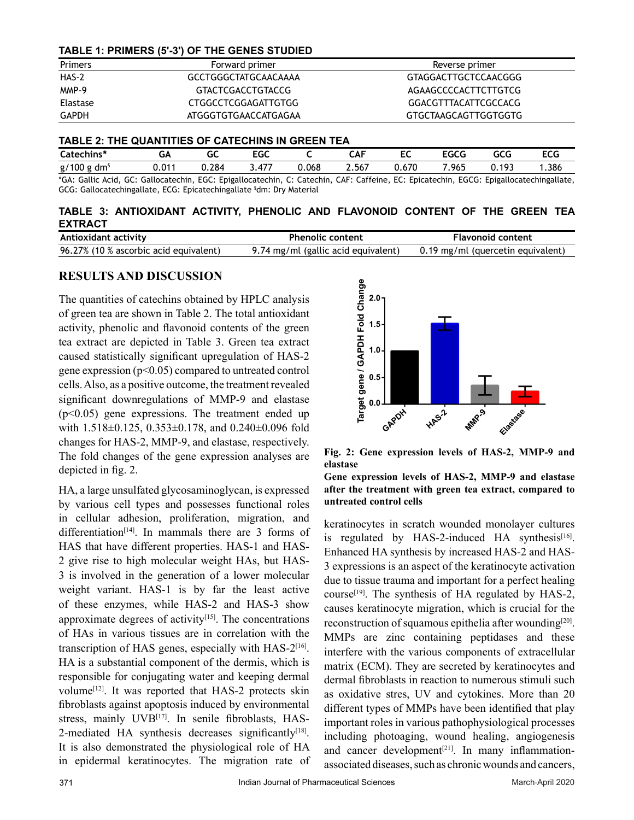### **TABLE 1: PRIMERS (5'-3') OF THE GENES STUDIED**

| Primers  | Forward primer       | Reverse primer       |
|----------|----------------------|----------------------|
| HAS-2    | GCCTGGGCTATGCAACAAAA | GTAGGACTTGCTCCAACGGG |
| MMP-9    | GTACTCGACCTGTACCG    | AGAAGCCCCACTTCTTGTCG |
| Elastase | CTGGCCTCGGAGATTGTGG  | GGACGTTTACATTCGCCACG |
| GAPDH    | ATGGGTGTGAACCATGAGAA | GTGCTAAGCAGTTGGTGGTG |

#### **TABLE 2: THE QUANTITIES OF CATECHINS IN GREEN TEA**

| catechins*  | طت       | ~~<br>u | -^^<br>טע: |       | $\overline{ }$<br>JA۲ | E<br>ᄄ<br>__ | $F^{\alpha}$<br>טרה. | GCG   | $F^{\prime}$<br>ccu |
|-------------|----------|---------|------------|-------|-----------------------|--------------|----------------------|-------|---------------------|
| g/100<br>dm | $J.01^*$ | ⊿28.ر   | .477       | 0.068 | 2.567                 | 0.670        | .965                 | 0.193 | .386                |

\*GA: Gallic Acid, GC: Gallocatechin, EGC: Epigallocatechin, C: Catechin, CAF: Caffeine, EC: Epicatechin, EGCG: Epigallocatechingallate, GCG: Gallocatechingallate, ECG: Epicatechingallate § dm: Dry Material

**TABLE 3: ANTIOXIDANT ACTIVITY, PHENOLIC AND FLAVONOID CONTENT OF THE GREEN TEA EXTRACT**

| Antioxidant activity                   | <b>Phenolic content</b>             | <b>Flavonoid content</b>          |
|----------------------------------------|-------------------------------------|-----------------------------------|
| 96.27% (10 % ascorbic acid equivalent) | 9.74 mg/ml (gallic acid equivalent) | 0.19 mg/ml (quercetin equivalent) |

## **RESULTS AND DISCUSSION**

The quantities of catechins obtained by HPLC analysis of green tea are shown in Table 2. The total antioxidant activity, phenolic and flavonoid contents of the green tea extract are depicted in Table 3. Green tea extract caused statistically significant upregulation of HAS-2 gene expression (p<0.05) compared to untreated control cells. Also, as a positive outcome, the treatment revealed significant downregulations of MMP-9 and elastase (p<0.05) gene expressions. The treatment ended up with 1.518±0.125, 0.353±0.178, and 0.240±0.096 fold changes for HAS-2, MMP-9, and elastase, respectively. The fold changes of the gene expression analyses are depicted in fig. 2.

HA, a large unsulfated glycosaminoglycan, is expressed by various cell types and possesses functional roles in cellular adhesion, proliferation, migration, and differentiation<sup>[14]</sup>. In mammals there are 3 forms of HAS that have different properties. HAS-1 and HAS-2 give rise to high molecular weight HAs, but HAS-3 is involved in the generation of a lower molecular weight variant. HAS-1 is by far the least active of these enzymes, while HAS-2 and HAS-3 show approximate degrees of activity $[15]$ . The concentrations of HAs in various tissues are in correlation with the transcription of HAS genes, especially with HAS-2[16]. HA is a substantial component of the dermis, which is responsible for conjugating water and keeping dermal volume<sup>[12]</sup>. It was reported that HAS-2 protects skin fibroblasts against apoptosis induced by environmental stress, mainly UVB<sup>[17]</sup>. In senile fibroblasts, HAS-2-mediated HA synthesis decreases significantly $[18]$ . It is also demonstrated the physiological role of HA in epidermal keratinocytes. The migration rate of



**Fig. 2: Gene expression levels of HAS-2, MMP-9 and elastase** 

**Gene expression levels of HAS-2, MMP-9 and elastase after the treatment with green tea extract, compared to untreated control cells**

keratinocytes in scratch wounded monolayer cultures is regulated by HAS-2-induced HA synthesis<sup>[16]</sup>. Enhanced HA synthesis by increased HAS-2 and HAS-3 expressions is an aspect of the keratinocyte activation due to tissue trauma and important for a perfect healing course<sup>[19]</sup>. The synthesis of HA regulated by HAS-2, causes keratinocyte migration, which is crucial for the reconstruction of squamous epithelia after wounding<sup>[20]</sup>. MMPs are zinc containing peptidases and these interfere with the various components of extracellular matrix (ECM). They are secreted by keratinocytes and dermal fibroblasts in reaction to numerous stimuli such as oxidative stres, UV and cytokines. More than 20 different types of MMPs have been identified that play important roles in various pathophysiological processes including photoaging, wound healing, angiogenesis and cancer development $[21]$ . In many inflammationassociated diseases, such as chronic wounds and cancers,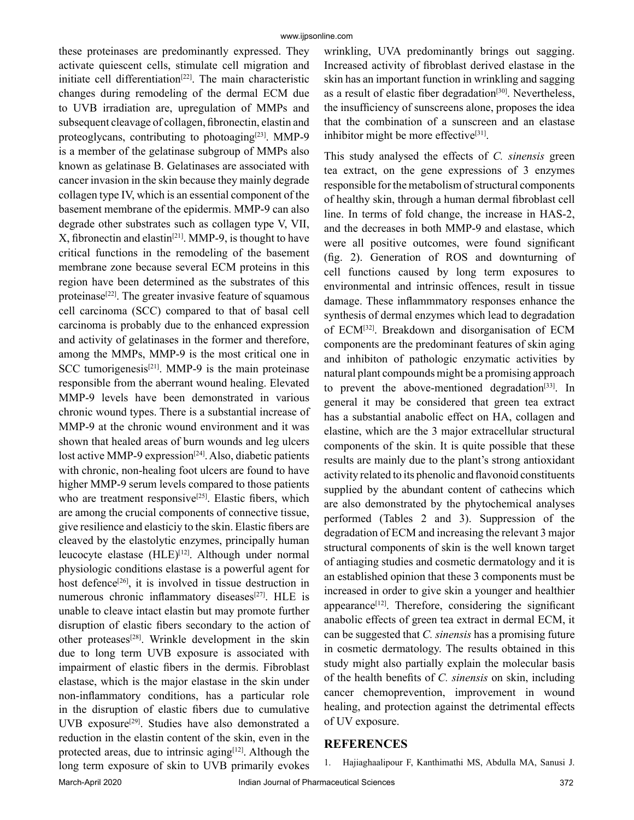these proteinases are predominantly expressed. They activate quiescent cells, stimulate cell migration and initiate cell differentiation<sup>[22]</sup>. The main characteristic changes during remodeling of the dermal ECM due to UVB irradiation are, upregulation of MMPs and subsequent cleavage of collagen, fibronectin, elastin and proteoglycans, contributing to photoaging<sup>[23]</sup>. MMP-9 is a member of the gelatinase subgroup of MMPs also known as gelatinase B. Gelatinases are associated with cancer invasion in the skin because they mainly degrade collagen type IV, which is an essential component of the basement membrane of the epidermis. MMP-9 can also degrade other substrates such as collagen type V, VII,  $X$ , fibronectin and elastin<sup>[21]</sup>. MMP-9, is thought to have critical functions in the remodeling of the basement membrane zone because several ECM proteins in this region have been determined as the substrates of this proteinase<sup>[22]</sup>. The greater invasive feature of squamous cell carcinoma (SCC) compared to that of basal cell carcinoma is probably due to the enhanced expression and activity of gelatinases in the former and therefore, among the MMPs, MMP-9 is the most critical one in SCC tumorigenesis<sup>[21]</sup>. MMP-9 is the main proteinase responsible from the aberrant wound healing. Elevated MMP-9 levels have been demonstrated in various chronic wound types. There is a substantial increase of MMP-9 at the chronic wound environment and it was shown that healed areas of burn wounds and leg ulcers lost active MMP-9 expression<sup>[24]</sup>. Also, diabetic patients with chronic, non-healing foot ulcers are found to have higher MMP-9 serum levels compared to those patients who are treatment responsive<sup>[25]</sup>. Elastic fibers, which are among the crucial components of connective tissue, give resilience and elasticiy to the skin. Elastic fibers are cleaved by the elastolytic enzymes, principally human leucocyte elastase (HLE)<sup>[12]</sup>. Although under normal physiologic conditions elastase is a powerful agent for host defence<sup>[26]</sup>, it is involved in tissue destruction in numerous chronic inflammatory diseases<sup>[27]</sup>. HLE is unable to cleave intact elastin but may promote further disruption of elastic fibers secondary to the action of other proteases<sup>[28]</sup>. Wrinkle development in the skin due to long term UVB exposure is associated with impairment of elastic fibers in the dermis. Fibroblast elastase, which is the major elastase in the skin under non-inflammatory conditions, has a particular role in the disruption of elastic fibers due to cumulative UVB exposure[29]. Studies have also demonstrated a reduction in the elastin content of the skin, even in the protected areas, due to intrinsic aging $[12]$ . Although the long term exposure of skin to UVB primarily evokes wrinkling, UVA predominantly brings out sagging. Increased activity of fibroblast derived elastase in the skin has an important function in wrinkling and sagging as a result of elastic fiber degradation<sup>[30]</sup>. Nevertheless, the insufficiency of sunscreens alone, proposes the idea that the combination of a sunscreen and an elastase inhibitor might be more effective $[31]$ .

This study analysed the effects of *C. sinensis* green tea extract, on the gene expressions of 3 enzymes responsible for the metabolism of structural components of healthy skin, through a human dermal fibroblast cell line. In terms of fold change, the increase in HAS-2, and the decreases in both MMP-9 and elastase, which were all positive outcomes, were found significant (fig. 2). Generation of ROS and downturning of cell functions caused by long term exposures to environmental and intrinsic offences, result in tissue damage. These inflammmatory responses enhance the synthesis of dermal enzymes which lead to degradation of ECM[32]. Breakdown and disorganisation of ECM components are the predominant features of skin aging and inhibiton of pathologic enzymatic activities by natural plant compounds might be a promising approach to prevent the above-mentioned degradation $[33]$ . In general it may be considered that green tea extract has a substantial anabolic effect on HA, collagen and elastine, which are the 3 major extracellular structural components of the skin. It is quite possible that these results are mainly due to the plant's strong antioxidant activity related to its phenolic and flavonoid constituents supplied by the abundant content of cathecins which are also demonstrated by the phytochemical analyses performed (Tables 2 and 3). Suppression of the degradation of ECM and increasing the relevant 3 major structural components of skin is the well known target of antiaging studies and cosmetic dermatology and it is an established opinion that these 3 components must be increased in order to give skin a younger and healthier appearance $[12]$ . Therefore, considering the significant anabolic effects of green tea extract in dermal ECM, it can be suggested that *C. sinensis* has a promising future in cosmetic dermatology. The results obtained in this study might also partially explain the molecular basis of the health benefits of *C. sinensis* on skin, including cancer chemoprevention, improvement in wound healing, and protection against the detrimental effects of UV exposure.

## **REFERENCES**

1. Hajiaghaalipour F, Kanthimathi MS, Abdulla MA, Sanusi J.